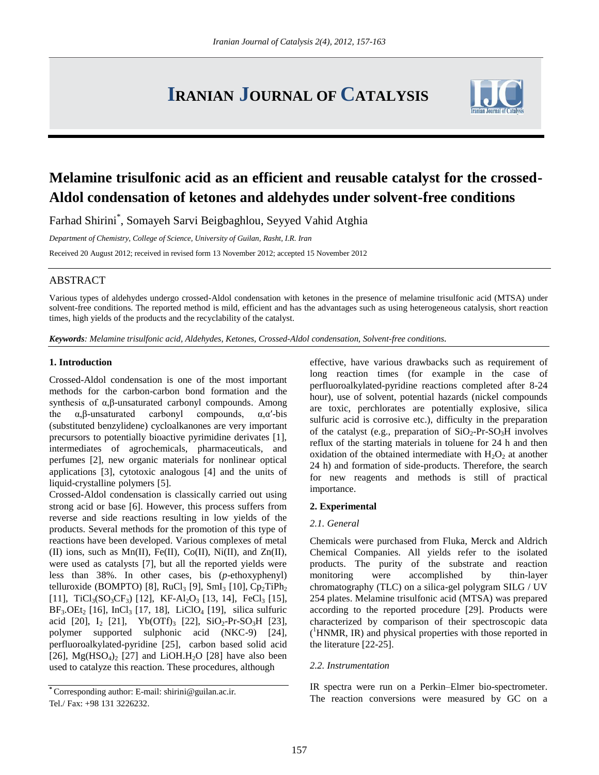# **IRANIAN JOURNAL OF CATALYSIS**



## **Melamine trisulfonic acid as an efficient and reusable catalyst for the crossed-Aldol condensation of ketones and aldehydes under solvent-free conditions**

Farhad Shirini\* , Somayeh Sarvi Beigbaghlou, Seyyed Vahid Atghia

*Department of Chemistry, College of Science, University of Guilan, Rasht, I.R. Iran* Received 20 August 2012; received in revised form 13 November 2012; accepted 15 November 2012

### ABSTRACT

Various types of aldehydes undergo crossed-Aldol condensation with ketones in the presence of melamine trisulfonic acid (MTSA) under solvent-free conditions. The reported method is mild, efficient and has the advantages such as using heterogeneous catalysis, short reaction times, high yields of the products and the recyclability of the catalyst.

*Keywords: Melamine trisulfonic acid, Aldehydes, Ketones, Crossed-Aldol condensation, Solvent-free conditions.*

#### **1. Introduction**

Crossed-Aldol condensation is one of the most important methods for the carbon-carbon bond formation and the synthesis of α,β-unsaturated carbonyl compounds. Among the  $\alpha, \beta$ -unsaturated carbonyl compounds,  $\alpha, \alpha'$ -bis (substituted benzylidene) cycloalkanones are very important precursors to potentially bioactive pyrimidine derivates [1], intermediates of agrochemicals, pharmaceuticals, and perfumes [2], new organic materials for nonlinear optical applications [3], cytotoxic analogous [4] and the units of liquid-crystalline polymers [5].

Crossed-Aldol condensation is classically carried out using strong acid or base [6]. However, this process suffers from reverse and side reactions resulting in low yields of the products. Several methods for the promotion of this type of reactions have been developed. Various complexes of metal (II) ions, such as Mn(II), Fe(II), Co(II), Ni(II), and Zn(II), were used as catalysts [7], but all the reported yields were less than 38%. In other cases, bis (*p*-ethoxyphenyl) telluroxide (BOMPTO) [8], RuCl<sub>3</sub> [9], SmI<sub>3</sub> [10], Cp<sub>2</sub>TiPh<sub>2</sub> [11], TiCl<sub>3</sub>(SO<sub>3</sub>CF<sub>3</sub>) [12], KF-Al<sub>2</sub>O<sub>3</sub> [13, 14], FeCl<sub>3</sub> [15],  $BF_3 OEt_2$  [16], InCl<sub>3</sub> [17, 18], LiClO<sub>4</sub> [19], silica sulfuric acid [20],  $I_2$  [21], Yb(OTf)<sub>3</sub> [22], SiO<sub>2</sub>-Pr-SO<sub>3</sub>H [23], polymer supported sulphonic acid (NKC-9) [24], perfluoroalkylated-pyridine [25], carbon based solid acid [26],  $Mg(HSO<sub>4</sub>)<sub>2</sub>$  [27] and LiOH.H<sub>2</sub>O [28] have also been used to catalyze this reaction. These procedures, although

effective, have various drawbacks such as requirement of long reaction times (for example in the case of perfluoroalkylated-pyridine reactions completed after 8-24 hour), use of solvent, potential hazards (nickel compounds are toxic, perchlorates are potentially explosive, silica sulfuric acid is corrosive etc.), difficulty in the preparation of the catalyst (e.g., preparation of  $SiO<sub>2</sub>-Pr-SO<sub>3</sub>H$  involves reflux of the starting materials in toluene for 24 h and then oxidation of the obtained intermediate with  $H_2O_2$  at another 24 h) and formation of side-products. Therefore, the search for new reagents and methods is still of practical importance.

#### **2. Experimental**

#### *2.1. General*

Chemicals were purchased from Fluka, Merck and Aldrich Chemical Companies. All yields refer to the isolated products. The purity of the substrate and reaction monitoring were accomplished by thin-layer chromatography (TLC) on a silica-gel polygram SILG / UV 254 plates. Melamine trisulfonic acid (MTSA) was prepared according to the reported procedure [29]. Products were characterized by comparison of their spectroscopic data ( <sup>1</sup>HNMR, IR) and physical properties with those reported in the literature [22-25].

#### *2.2. Instrumentation*

IR spectra were run on a Perkin–Elmer bio-spectrometer. The reaction conversions were measured by GC on a

**<sup>\*</sup>** Corresponding author: E-mail: shirini@guilan.ac.ir. Tel./ Fax: +98 131 3226232.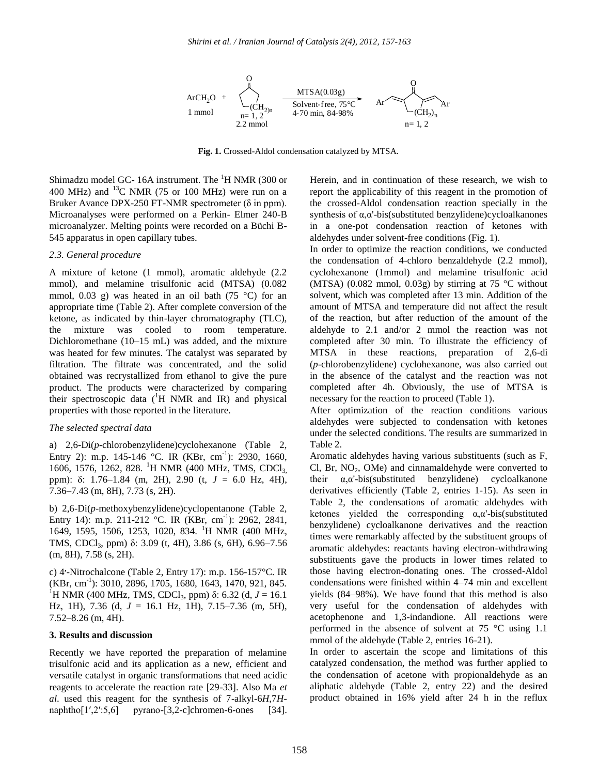

**Fig. 1.** Crossed-Aldol condensation catalyzed by MTSA.

Shimadzu model GC- 16A instrument. The  ${}^{1}$ H NMR (300 or 400 MHz) and  $^{13}$ C NMR (75 or 100 MHz) were run on a Bruker Avance DPX-250 FT-NMR spectrometer (δ in ppm). Microanalyses were performed on a Perkin- Elmer 240-B microanalyzer. Melting points were recorded on a Büchi B-545 apparatus in open capillary tubes.

#### *2.3. General procedure*

A mixture of ketone (1 mmol), aromatic aldehyde (2.2 mmol), and melamine trisulfonic acid (MTSA) (0.082 mmol, 0.03 g) was heated in an oil bath (75  $\degree$ C) for an appropriate time (Table 2). After complete conversion of the ketone, as indicated by thin-layer chromatography (TLC), the mixture was cooled to room temperature. Dichloromethane (10–15 mL) was added, and the mixture was heated for few minutes. The catalyst was separated by filtration. The filtrate was concentrated, and the solid obtained was recrystallized from ethanol to give the pure product. The products were characterized by comparing their spectroscopic data  $(^1H$  NMR and IR) and physical properties with those reported in the literature.

#### *The selected spectral data*

a) 2,6-Di(*p*-chlorobenzylidene)cyclohexanone (Table 2, Entry 2): m.p. 145-146 °C. IR (KBr, cm<sup>-1</sup>): 2930, 1660, 1606, 1576, 1262, 828. <sup>1</sup>H NMR (400 MHz, TMS, CDCl<sub>3</sub> ppm): δ: 1.76–1.84 (m, 2H), 2.90 (t, *J* = 6.0 Hz, 4H), 7.36–7.43 (m, 8H), 7.73 (s, 2H).

b) 2,6-Di(*p*-methoxybenzylidene)cyclopentanone (Table 2, Entry 14): m.p. 211-212 °C. IR (KBr, cm<sup>-1</sup>): 2962, 2841, 1649, 1595, 1506, 1253, 1020, 834. <sup>1</sup>H NMR (400 MHz, TMS, CDCl3, ppm) δ: 3.09 (t, 4H), 3.86 (s, 6H), 6.96–7.56 (m, 8H), 7.58 (s, 2H).

c) 4׳-Nitrochalcone (Table 2, Entry 17): m.p. 156-157°C. IR (KBr, cm-1 ): 3010, 2896, 1705, 1680, 1643, 1470, 921, 845. <sup>1</sup>H NMR (400 MHz, TMS, CDCl<sub>3</sub>, ppm) δ: 6.32 (d, *J* = 16.1 Hz, 1H), 7.36 (d, *J* = 16.1 Hz, 1H), 7.15–7.36 (m, 5H), 7.52–8.26 (m, 4H).

#### **3. Results and discussion**

Recently we have reported the preparation of melamine trisulfonic acid and its application as a new, efficient and versatile catalyst in organic transformations that need acidic reagents to accelerate the reaction rate [29-33]. Also Ma *et al*. used this reagent for the synthesis of 7-alkyl-6*H*,7*H*naphtho $[1',2':5,6]$  pyrano- $[3,2$ -c]chromen-6-ones [34]. Herein, and in continuation of these research, we wish to report the applicability of this reagent in the promotion of the crossed-Aldol condensation reaction specially in the synthesis of α,α'-bis(substituted benzylidene)cycloalkanones in a one-pot condensation reaction of ketones with aldehydes under solvent-free conditions (Fig. 1).

In order to optimize the reaction conditions, we conducted the condensation of 4-chloro benzaldehyde (2.2 mmol), cyclohexanone (1mmol) and melamine trisulfonic acid (MTSA) (0.082 mmol, 0.03g) by stirring at 75  $\degree$ C without solvent, which was completed after 13 min. Addition of the amount of MTSA and temperature did not affect the result of the reaction, but after reduction of the amount of the aldehyde to 2.1 and/or 2 mmol the reaction was not completed after 30 min. To illustrate the efficiency of MTSA in these reactions, preparation of 2,6-di (*p*-chlorobenzylidene) cyclohexanone, was also carried out in the absence of the catalyst and the reaction was not completed after 4h. Obviously, the use of MTSA is necessary for the reaction to proceed (Table 1).

After optimization of the reaction conditions various aldehydes were subjected to condensation with ketones under the selected conditions. The results are summarized in Table 2.

Aromatic aldehydes having various substituents (such as F,  $Cl$ , Br,  $NO<sub>2</sub>$ ,  $OMe$ ) and cinnamaldehyde were converted to their  $\alpha$ , $\alpha$ '-bis(substituted benzylidene) cycloalkanone derivatives efficiently (Table 2, entries 1-15). As seen in Table 2, the condensations of aromatic aldehydes with ketones yielded the corresponding  $\alpha$ , $\alpha$ '-bis(substituted benzylidene) cycloalkanone derivatives and the reaction times were remarkably affected by the substituent groups of aromatic aldehydes: reactants having electron-withdrawing substituents gave the products in lower times related to those having electron-donating ones. The crossed-Aldol condensations were finished within 4–74 min and excellent yields (84–98%). We have found that this method is also very useful for the condensation of aldehydes with acetophenone and 1,3-indandione. All reactions were performed in the absence of solvent at 75 °C using 1.1 mmol of the aldehyde (Table 2, entries 16-21).

In order to ascertain the scope and limitations of this catalyzed condensation, the method was further applied to the condensation of acetone with propionaldehyde as an aliphatic aldehyde (Table 2, entry 22) and the desired product obtained in 16% yield after 24 h in the reflux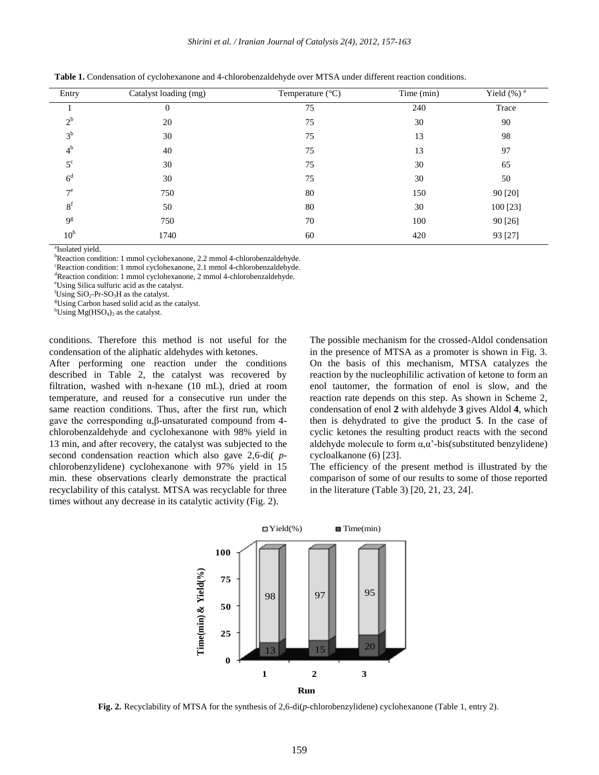*Shirini et al. / Iranian Journal of Catalysis 2(4), 2012, 157-163*

| Entry           | Catalyst loading (mg) | Temperature $(^{\circ}C)$ | Time (min) | Yield $(\%)^{\overline{a}}$ |
|-----------------|-----------------------|---------------------------|------------|-----------------------------|
|                 | $\mathbf{0}$          | 75                        | 240        | Trace                       |
| $2^{\rm b}$     | 20                    | 75                        | 30         | 90                          |
| $3^{\rm b}$     | 30                    | 75                        | 13         | 98                          |
| 4 <sup>b</sup>  | 40                    | 75                        | 13         | 97                          |
| $5^{\circ}$     | 30                    | 75                        | 30         | 65                          |
| 6 <sup>d</sup>  | 30                    | 75                        | 30         | 50                          |
| $7^e$           | 750                   | 80                        | 150        | 90 [20]                     |
| 8 <sup>f</sup>  | 50                    | 80                        | 30         | 100 [23]                    |
| 9 <sup>g</sup>  | 750                   | 70                        | 100        | 90 [26]                     |
| 10 <sup>h</sup> | 1740                  | 60                        | 420        | 93 [27]                     |

**Table 1.** Condensation of cyclohexanone and 4-chlorobenzaldehyde over MTSA under different reaction conditions.

<sup>a</sup>Isolated yield.

bReaction condition: 1 mmol cyclohexanone, 2.2 mmol 4-chlorobenzaldehyde.

<sup>c</sup>Reaction condition: 1 mmol cyclohexanone, 2.1 mmol 4-chlorobenzaldehyde.

<sup>d</sup>Reaction condition: 1 mmol cyclohexanone, 2 mmol 4-chlorobenzaldehyde.

<sup>e</sup>Using Silica sulfuric acid as the catalyst.

 ${}^{\text{f}}$ Using SiO<sub>2</sub>-Pr-SO<sub>3</sub>H as the catalyst.

<sup>g</sup>Using Carbon based solid acid as the catalyst.

 ${}^{\text{h}}$ Using Mg(HSO<sub>4</sub>)<sub>3</sub> as the catalyst.

conditions. Therefore this method is not useful for the condensation of the aliphatic aldehydes with ketones.

After performing one reaction under the conditions described in Table 2, the catalyst was recovered by filtration, washed with n-hexane (10 mL), dried at room temperature, and reused for a consecutive run under the same reaction conditions. Thus, after the first run, which gave the corresponding α,β-unsaturated compound from 4 chlorobenzaldehyde and cyclohexanone with 98% yield in 13 min, and after recovery, the catalyst was subjected to the second condensation reaction which also gave 2,6-di( *p*chlorobenzylidene) cyclohexanone with 97% yield in 15 min. these observations clearly demonstrate the practical recyclability of this catalyst. MTSA was recyclable for three times without any decrease in its catalytic activity (Fig. 2).

The possible mechanism for the crossed-Aldol condensation in the presence of MTSA as a promoter is shown in Fig. 3. On the basis of this mechanism, MTSA catalyzes the reaction by the nucleophililic activation of ketone to form an enol tautomer, the formation of enol is slow, and the reaction rate depends on this step. As shown in Scheme 2, condensation of enol **2** with aldehyde **3** gives Aldol **4**, which then is dehydrated to give the product **5**. In the case of cyclic ketones the resulting product reacts with the second aldehyde molecule to form  $\alpha, \alpha'$ -bis(substituted benzylidene) cycloalkanone (6) [23].

The efficiency of the present method is illustrated by the comparison of some of our results to some of those reported in the literature (Table 3) [20, 21, 23, 24].



**Fig. 2.** Recyclability of MTSA for the synthesis of 2,6-di(*p*-chlorobenzylidene) cyclohexanone (Table 1, entry 2).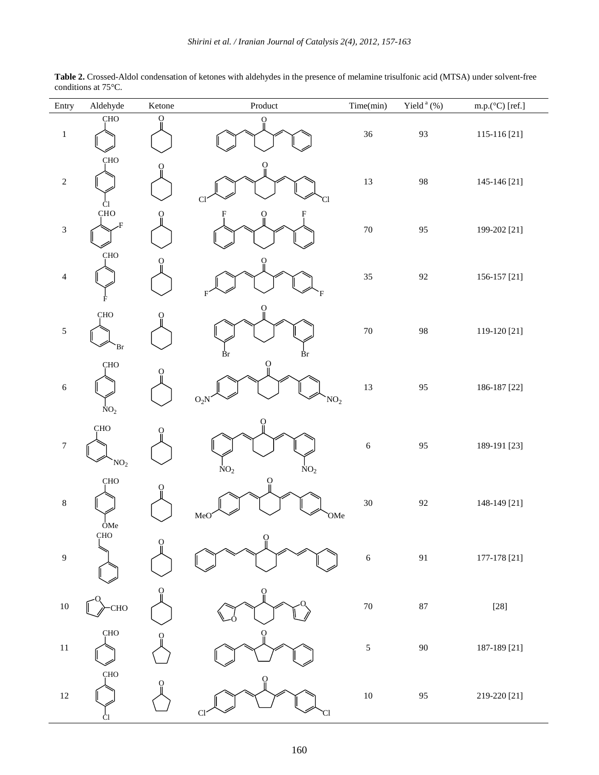| Entry            | Aldehyde                      | Ketone       | $\mathop{\text{Product}}$               | Time(min)  | Yield <sup>a</sup> (%) | m.p.( $°C$ ) [ref.] |
|------------------|-------------------------------|--------------|-----------------------------------------|------------|------------------------|---------------------|
| $\,1\,$          | <b>CHO</b>                    | $\mathbf{O}$ | $\mathbf O$                             | $36\,$     | 93                     | 115-116 [21]        |
| $\sqrt{2}$       | <b>CHO</b><br>Ċl              |              | ပူ<br>C.<br>Cl                          | 13         | 98                     | 145-146 [21]        |
| $\sqrt{3}$       | <b>CHO</b>                    |              |                                         | $70\,$     | 95                     | 199-202 [21]        |
| $\overline{4}$   | <b>CHO</b><br>Ė               |              | О                                       | 35         | 92                     | 156-157 [21]        |
| $\sqrt{5}$       | <b>CHO</b><br>`Br             |              | $\rm Br$<br>Вr                          | $70\,$     | 98                     | 119-120 [21]        |
| $\sqrt{6}$       | <b>CHO</b><br>NO <sub>2</sub> |              | ဝူ<br>$O_2N$<br>NO <sub>2</sub>         | 13         | 95                     | 186-187 [22]        |
| $\boldsymbol{7}$ | <b>CHO</b><br>NO <sub>2</sub> | O)           | О<br>$\mathrm{NO}_2$<br>$\mathrm{NO}_2$ | $\sqrt{6}$ | 95                     | 189-191 [23]        |
| $\,8\,$          | <b>CHO</b><br>OMe             |              | ö<br>MeO<br>OMe                         | $30\,$     | 92                     | 148-149 [21]        |
| $\overline{9}$   | <b>CHO</b>                    | O            | ပူ                                      | $\sqrt{6}$ | $\boldsymbol{91}$      | 177-178 [21]        |
| $10\,$           | <b>CHO</b>                    | $\Omega$     | ö                                       | $70\,$     | $87\,$                 | $\left[ 28\right]$  |
| $11\,$           | CHO                           | ( )          | $\Omega$                                | $\sqrt{5}$ | $90\,$                 | 187-189 [21]        |
| $12\,$           | CHO<br>CI                     | О            | $\Omega$<br>Cl<br>Cl                    | $10\,$     | 95                     | 219-220 [21]        |

**Table 2.** Crossed-Aldol condensation of ketones with aldehydes in the presence of melamine trisulfonic acid (MTSA) under solvent-free conditions at 75°C.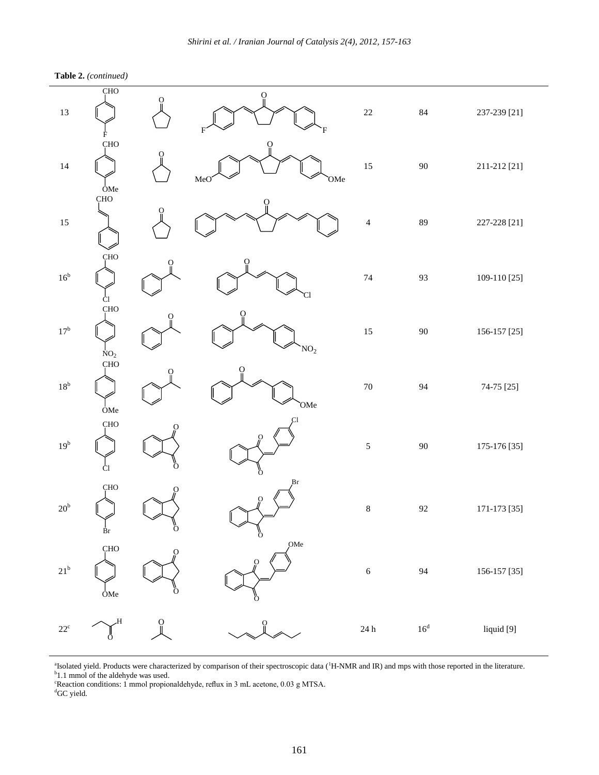**Table 2.** *(continued)*

| $13\,$          | <b>CHO</b><br>Ė           | О                    | $\Omega$<br>F   | 22                          | 84           | 237-239 [21] |
|-----------------|---------------------------|----------------------|-----------------|-----------------------------|--------------|--------------|
| 14              | <b>CHO</b><br>OMe         |                      | O<br>OMe<br>MeO | 15                          | $90\,$       | 211-212 [21] |
| 15              | CHO                       |                      |                 | $\overline{\mathcal{L}}$    | 89           | 227-228 [21] |
| 16 <sup>b</sup> | CHO<br>Ċl                 |                      | CI              | 74                          | 93           | 109-110 [25] |
| $17^{\rm b}$    | CHO<br>$NO2$<br>CHO       |                      | $\rm NO_2$      | $15\,$                      | 90           | 156-157 [25] |
| $18^{\rm b}$    | OMe                       |                      | `OMe            | $70\,$                      | 94           | 74-75 [25]   |
| 19 <sup>b</sup> | ÇHO<br>Ċ1                 |                      | Ō               | $\sqrt{5}$                  | 90           | 175-176 [35] |
| $20^{\rm b}$    | CHO<br>$\int_{\text{Br}}$ | $\frac{1}{\sqrt{2}}$ | Br<br>ő         | $\,$ 8 $\,$                 | 92           | 171-173 [35] |
| $21^{\rm b}$    | CHO<br>OMe                | Ō                    | OMe<br>О<br>Ö   | $\sqrt{6}$                  | 94           | 156-157 [35] |
| $22^{\rm c}$    | H,<br>Ö                   | О                    |                 | $24\,\ensuremath{\hbox{h}}$ | $16^{\rm d}$ | liquid [9]   |

<sup>a</sup>Isolated yield. Products were characterized by comparison of their spectroscopic data (<sup>1</sup>H-NMR and IR) and mps with those reported in the literature.<br><sup>b</sup>1.1 mmol of the aldehyde was used.

<sup>c</sup>Reaction conditions: 1 mmol propionaldehyde, reflux in 3 mL acetone, 0.03 g MTSA.

 ${}^d$ GC yield.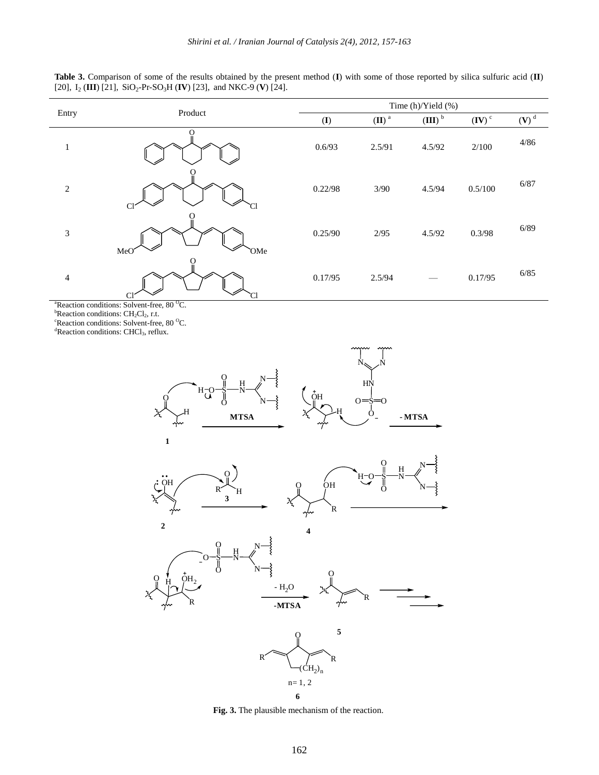**Table 3.** Comparison of some of the results obtained by the present method (**I**) with some of those reported by silica sulfuric acid (**II**) [20],  $I_2$  (**III**) [21],  $SiO_2$ -Pr-SO<sub>3</sub>H (**IV**) [23], and NKC-9 (**V**) [24].

|                                                         | Product        | Time (h)/Yield (%) |                     |                    |                   |                    |  |
|---------------------------------------------------------|----------------|--------------------|---------------------|--------------------|-------------------|--------------------|--|
| Entry                                                   |                | $($ $\Gamma$       | $(II)$ <sup>a</sup> | (III) <sup>b</sup> | $(\mathbf{IV})^c$ | $(V)$ <sup>d</sup> |  |
| 1                                                       |                | 0.6/93             | 2.5/91              | 4.5/92             | 2/100             | 4/86               |  |
| $\sqrt{2}$                                              | C <sub>1</sub> | 0.22/98            | 3/90                | 4.5/94             | 0.5/100           | 6/87               |  |
| $\ensuremath{\mathfrak{Z}}$                             | MeO<br>`OMe    | 0.25/90            | 2/95                | 4.5/92             | 0.3/98            | 6/89               |  |
| $\overline{\mathcal{A}}$                                | C              | 0.17/95            | 2.5/94              |                    | 0.17/95           | 6/85               |  |
| ${}^{a}$ Reaction conditions: Solvent-free 80 ${}^{0}C$ |                |                    |                     |                    |                   |                    |  |

<sup>a</sup>Reaction conditions: Solvent-free, 80 <sup>o</sup>C.

 ${}^{\text{b}}$ Reaction conditions: CH<sub>2</sub>Cl<sub>2</sub>, r.t.

 $\mathrm{c}$ Reaction conditions: Solvent-free, 80  $\mathrm{c}$ C.

<sup>d</sup>Reaction conditions: CHCl<sub>3</sub>, reflux.



**Fig. 3.** The plausible mechanism of the reaction.